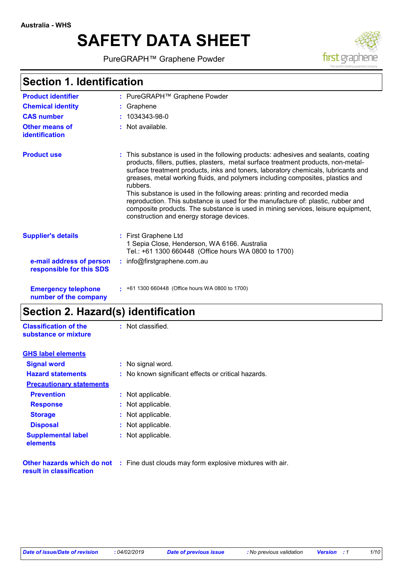# **SAFETY DATA SHEET**

PureGRAPH™ Graphene Powder



## **Section 1. Identification**

| <b>Product identifier</b>                            |    | : PureGRAPH™ Graphene Powder                                                                                                                                                                                                                                                                                                                                                                                                                                                                                                                                                                                                                                   |
|------------------------------------------------------|----|----------------------------------------------------------------------------------------------------------------------------------------------------------------------------------------------------------------------------------------------------------------------------------------------------------------------------------------------------------------------------------------------------------------------------------------------------------------------------------------------------------------------------------------------------------------------------------------------------------------------------------------------------------------|
| <b>Chemical identity</b>                             |    | Graphene                                                                                                                                                                                                                                                                                                                                                                                                                                                                                                                                                                                                                                                       |
| <b>CAS number</b>                                    | ÷. | 1034343-98-0                                                                                                                                                                                                                                                                                                                                                                                                                                                                                                                                                                                                                                                   |
| Other means of<br>identification                     |    | : Not available.                                                                                                                                                                                                                                                                                                                                                                                                                                                                                                                                                                                                                                               |
| <b>Product use</b>                                   |    | : This substance is used in the following products: adhesives and sealants, coating<br>products, fillers, putties, plasters, metal surface treatment products, non-metal-<br>surface treatment products, inks and toners, laboratory chemicals, lubricants and<br>greases, metal working fluids, and polymers including composites, plastics and<br>rubbers.<br>This substance is used in the following areas: printing and recorded media<br>reproduction. This substance is used for the manufacture of: plastic, rubber and<br>composite products. The substance is used in mining services, leisure equipment,<br>construction and energy storage devices. |
| <b>Supplier's details</b>                            |    | : First Graphene Ltd<br>1 Sepia Close, Henderson, WA 6166. Australia<br>Tel.: +61 1300 660448 (Office hours WA 0800 to 1700)                                                                                                                                                                                                                                                                                                                                                                                                                                                                                                                                   |
| e-mail address of person<br>responsible for this SDS |    | : info@firstgraphene.com.au                                                                                                                                                                                                                                                                                                                                                                                                                                                                                                                                                                                                                                    |
| <b>Emergency telephone</b><br>number of the company  |    | $\pm$ +61 1300 660448 (Office hours WA 0800 to 1700)                                                                                                                                                                                                                                                                                                                                                                                                                                                                                                                                                                                                           |

## **Section 2. Hazard(s) identification**

| <b>Classification of the</b><br>substance or mixture | : Not classified.                                                                          |
|------------------------------------------------------|--------------------------------------------------------------------------------------------|
| <b>GHS label elements</b>                            |                                                                                            |
| <b>Signal word</b>                                   | : No signal word.                                                                          |
| <b>Hazard statements</b>                             | : No known significant effects or critical hazards.                                        |
| <b>Precautionary statements</b>                      |                                                                                            |
| <b>Prevention</b>                                    | : Not applicable.                                                                          |
| <b>Response</b>                                      | : Not applicable.                                                                          |
| <b>Storage</b>                                       | : Not applicable.                                                                          |
| <b>Disposal</b>                                      | : Not applicable.                                                                          |
| <b>Supplemental label</b><br>elements                | : Not applicable.                                                                          |
| result in classification                             | <b>Other hazards which do not</b> : Fine dust clouds may form explosive mixtures with air. |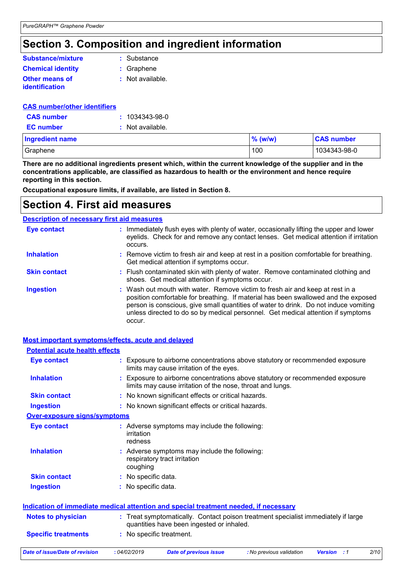## **Section 3. Composition and ingredient information**

| Substance/mixture                       | : Substance      |
|-----------------------------------------|------------------|
| <b>Chemical identity</b>                | : Graphene       |
| <b>Other means of</b><br>identification | : Not available. |

#### **CAS number : CAS number/other identifiers** 1034343-98-0

| <b>EC</b> number  | : Not available. |
|-------------------|------------------|
| <b>CAS</b> number | : 1034343-98-0   |

| <b>Ingredient name</b> | $\%$ (w/w) | <b>CAS number</b> |  |
|------------------------|------------|-------------------|--|
| Graphene               | 100        | 1034343-98-0      |  |

**There are no additional ingredients present which, within the current knowledge of the supplier and in the concentrations applicable, are classified as hazardous to health or the environment and hence require reporting in this section.**

**Occupational exposure limits, if available, are listed in Section 8.**

## **Section 4. First aid measures**

### **Description of necessary first aid measures**

| <b>Eye contact</b>  | : Immediately flush eyes with plenty of water, occasionally lifting the upper and lower<br>eyelids. Check for and remove any contact lenses. Get medical attention if irritation<br>occurs.                                                                                                                                                               |
|---------------------|-----------------------------------------------------------------------------------------------------------------------------------------------------------------------------------------------------------------------------------------------------------------------------------------------------------------------------------------------------------|
| <b>Inhalation</b>   | : Remove victim to fresh air and keep at rest in a position comfortable for breathing.<br>Get medical attention if symptoms occur.                                                                                                                                                                                                                        |
| <b>Skin contact</b> | : Flush contaminated skin with plenty of water. Remove contaminated clothing and<br>shoes. Get medical attention if symptoms occur.                                                                                                                                                                                                                       |
| <b>Ingestion</b>    | : Wash out mouth with water. Remove victim to fresh air and keep at rest in a<br>position comfortable for breathing. If material has been swallowed and the exposed<br>person is conscious, give small quantities of water to drink. Do not induce vomiting<br>unless directed to do so by medical personnel. Get medical attention if symptoms<br>occur. |

### **Most important symptoms/effects, acute and delayed**

| <b>Potential acute health effects</b> |                                                                                                                                           |
|---------------------------------------|-------------------------------------------------------------------------------------------------------------------------------------------|
| <b>Eye contact</b>                    | : Exposure to airborne concentrations above statutory or recommended exposure<br>limits may cause irritation of the eyes.                 |
| <b>Inhalation</b>                     | Exposure to airborne concentrations above statutory or recommended exposure<br>limits may cause irritation of the nose, throat and lungs. |
| <b>Skin contact</b>                   | : No known significant effects or critical hazards.                                                                                       |
| <b>Ingestion</b>                      | : No known significant effects or critical hazards.                                                                                       |
| Over-exposure signs/symptoms          |                                                                                                                                           |
| <b>Eye contact</b>                    | : Adverse symptoms may include the following:<br>irritation<br>redness                                                                    |
| <b>Inhalation</b>                     | : Adverse symptoms may include the following:<br>respiratory tract irritation<br>coughing                                                 |
| <b>Skin contact</b>                   | : No specific data.                                                                                                                       |
| <b>Ingestion</b>                      | : No specific data.                                                                                                                       |
|                                       | <b>Indication of immediate medical attention and special treatment needed, if necessary</b>                                               |
| <b>Notes to physician</b>             | : Treat symptomatically. Contact poison treatment specialist immediately if large<br>quantities have been ingested or inhaled.            |
| <b>Specific treatments</b>            | : No specific treatment.                                                                                                                  |
| Dota of inqualData of revision        | 2/10<br>0.01/00/0010<br>Dota of province inoun<br>. Na province volidation<br>$Varain$ $\rightarrow$ $\rightarrow$                        |

*Date of issue/Date of revision* **:** *04/02/2019 Date of previous issue : No previous validation Version : 1 2/10*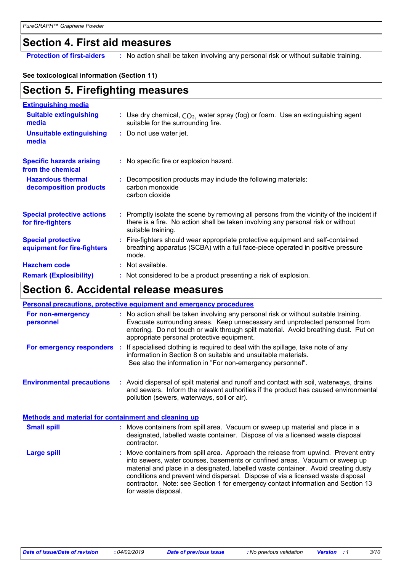## **Section 4. First aid measures**

**Protection of first-aiders** : No action shall be taken involving any personal risk or without suitable training.

### **See toxicological information (Section 11)**

| <b>Section 5. Firefighting measures</b>                  |                                                                                                                                                                                                     |
|----------------------------------------------------------|-----------------------------------------------------------------------------------------------------------------------------------------------------------------------------------------------------|
| <b>Extinguishing media</b>                               |                                                                                                                                                                                                     |
| <b>Suitable extinguishing</b><br>media                   | : Use dry chemical, $CO2$ , water spray (fog) or foam. Use an extinguishing agent<br>suitable for the surrounding fire.                                                                             |
| <b>Unsuitable extinguishing</b><br>media                 | : Do not use water jet.                                                                                                                                                                             |
| <b>Specific hazards arising</b><br>from the chemical     | : No specific fire or explosion hazard.                                                                                                                                                             |
| <b>Hazardous thermal</b><br>decomposition products       | : Decomposition products may include the following materials:<br>carbon monoxide<br>carbon dioxide                                                                                                  |
| <b>Special protective actions</b><br>for fire-fighters   | : Promptly isolate the scene by removing all persons from the vicinity of the incident if<br>there is a fire. No action shall be taken involving any personal risk or without<br>suitable training. |
| <b>Special protective</b><br>equipment for fire-fighters | : Fire-fighters should wear appropriate protective equipment and self-contained<br>breathing apparatus (SCBA) with a full face-piece operated in positive pressure<br>mode.                         |
| <b>Hazchem code</b>                                      | : Not available.                                                                                                                                                                                    |
| <b>Remark (Explosibility)</b>                            | : Not considered to be a product presenting a risk of explosion.                                                                                                                                    |

### **Section 6. Accidental release measures**

|                                                             | <b>Personal precautions, protective equipment and emergency procedures</b>                                                                                                                                                                                                                                                                                                                                                                            |
|-------------------------------------------------------------|-------------------------------------------------------------------------------------------------------------------------------------------------------------------------------------------------------------------------------------------------------------------------------------------------------------------------------------------------------------------------------------------------------------------------------------------------------|
| For non-emergency<br>personnel                              | : No action shall be taken involving any personal risk or without suitable training.<br>Evacuate surrounding areas. Keep unnecessary and unprotected personnel from<br>entering. Do not touch or walk through spilt material. Avoid breathing dust. Put on<br>appropriate personal protective equipment.                                                                                                                                              |
|                                                             | <b>For emergency responders</b> : If specialised clothing is required to deal with the spillage, take note of any<br>information in Section 8 on suitable and unsuitable materials.<br>See also the information in "For non-emergency personnel".                                                                                                                                                                                                     |
| <b>Environmental precautions</b>                            | : Avoid dispersal of spilt material and runoff and contact with soil, waterways, drains<br>and sewers. Inform the relevant authorities if the product has caused environmental<br>pollution (sewers, waterways, soil or air).                                                                                                                                                                                                                         |
| <b>Methods and material for containment and cleaning up</b> |                                                                                                                                                                                                                                                                                                                                                                                                                                                       |
| <b>Small spill</b>                                          | : Move containers from spill area. Vacuum or sweep up material and place in a<br>designated, labelled waste container. Dispose of via a licensed waste disposal<br>contractor.                                                                                                                                                                                                                                                                        |
| <b>Large spill</b>                                          | : Move containers from spill area. Approach the release from upwind. Prevent entry<br>into sewers, water courses, basements or confined areas. Vacuum or sweep up<br>material and place in a designated, labelled waste container. Avoid creating dusty<br>conditions and prevent wind dispersal. Dispose of via a licensed waste disposal<br>contractor. Note: see Section 1 for emergency contact information and Section 13<br>for waste disposal. |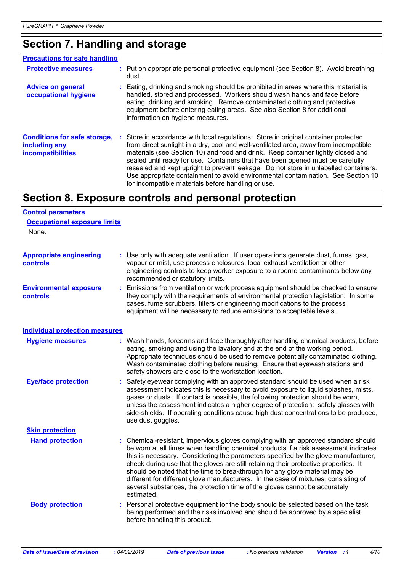## **Section 7. Handling and storage**

| <b>Precautions for safe handling</b>                                             |                                                                                                                                                                                                                                                                                                                                                                                                                                                                                                                                                                                     |
|----------------------------------------------------------------------------------|-------------------------------------------------------------------------------------------------------------------------------------------------------------------------------------------------------------------------------------------------------------------------------------------------------------------------------------------------------------------------------------------------------------------------------------------------------------------------------------------------------------------------------------------------------------------------------------|
| <b>Protective measures</b>                                                       | : Put on appropriate personal protective equipment (see Section 8). Avoid breathing<br>dust.                                                                                                                                                                                                                                                                                                                                                                                                                                                                                        |
| <b>Advice on general</b><br>occupational hygiene                                 | : Eating, drinking and smoking should be prohibited in areas where this material is<br>handled, stored and processed. Workers should wash hands and face before<br>eating, drinking and smoking. Remove contaminated clothing and protective<br>equipment before entering eating areas. See also Section 8 for additional<br>information on hygiene measures.                                                                                                                                                                                                                       |
| <b>Conditions for safe storage,</b><br>including any<br><b>incompatibilities</b> | : Store in accordance with local regulations. Store in original container protected<br>from direct sunlight in a dry, cool and well-ventilated area, away from incompatible<br>materials (see Section 10) and food and drink. Keep container tightly closed and<br>sealed until ready for use. Containers that have been opened must be carefully<br>resealed and kept upright to prevent leakage. Do not store in unlabelled containers.<br>Use appropriate containment to avoid environmental contamination. See Section 10<br>for incompatible materials before handling or use. |

## **Section 8. Exposure controls and personal protection**

| <b>Control parameters</b>                         |                                                                                                                                                                                                                                                                                                                                                                                                                                                                                                                                                                                                                           |
|---------------------------------------------------|---------------------------------------------------------------------------------------------------------------------------------------------------------------------------------------------------------------------------------------------------------------------------------------------------------------------------------------------------------------------------------------------------------------------------------------------------------------------------------------------------------------------------------------------------------------------------------------------------------------------------|
| <b>Occupational exposure limits</b><br>None.      |                                                                                                                                                                                                                                                                                                                                                                                                                                                                                                                                                                                                                           |
| <b>Appropriate engineering</b><br><b>controls</b> | : Use only with adequate ventilation. If user operations generate dust, fumes, gas,<br>vapour or mist, use process enclosures, local exhaust ventilation or other<br>engineering controls to keep worker exposure to airborne contaminants below any<br>recommended or statutory limits.                                                                                                                                                                                                                                                                                                                                  |
| <b>Environmental exposure</b><br><b>controls</b>  | : Emissions from ventilation or work process equipment should be checked to ensure<br>they comply with the requirements of environmental protection legislation. In some<br>cases, fume scrubbers, filters or engineering modifications to the process<br>equipment will be necessary to reduce emissions to acceptable levels.                                                                                                                                                                                                                                                                                           |
| <b>Individual protection measures</b>             |                                                                                                                                                                                                                                                                                                                                                                                                                                                                                                                                                                                                                           |
| <b>Hygiene measures</b>                           | : Wash hands, forearms and face thoroughly after handling chemical products, before<br>eating, smoking and using the lavatory and at the end of the working period.<br>Appropriate techniques should be used to remove potentially contaminated clothing.<br>Wash contaminated clothing before reusing. Ensure that eyewash stations and<br>safety showers are close to the workstation location.                                                                                                                                                                                                                         |
| <b>Eye/face protection</b>                        | : Safety eyewear complying with an approved standard should be used when a risk<br>assessment indicates this is necessary to avoid exposure to liquid splashes, mists,<br>gases or dusts. If contact is possible, the following protection should be worn,<br>unless the assessment indicates a higher degree of protection: safety glasses with<br>side-shields. If operating conditions cause high dust concentrations to be produced,<br>use dust goggles.                                                                                                                                                             |
| <b>Skin protection</b>                            |                                                                                                                                                                                                                                                                                                                                                                                                                                                                                                                                                                                                                           |
| <b>Hand protection</b>                            | : Chemical-resistant, impervious gloves complying with an approved standard should<br>be worn at all times when handling chemical products if a risk assessment indicates<br>this is necessary. Considering the parameters specified by the glove manufacturer,<br>check during use that the gloves are still retaining their protective properties. It<br>should be noted that the time to breakthrough for any glove material may be<br>different for different glove manufacturers. In the case of mixtures, consisting of<br>several substances, the protection time of the gloves cannot be accurately<br>estimated. |
| <b>Body protection</b>                            | Personal protective equipment for the body should be selected based on the task<br>being performed and the risks involved and should be approved by a specialist<br>before handling this product.                                                                                                                                                                                                                                                                                                                                                                                                                         |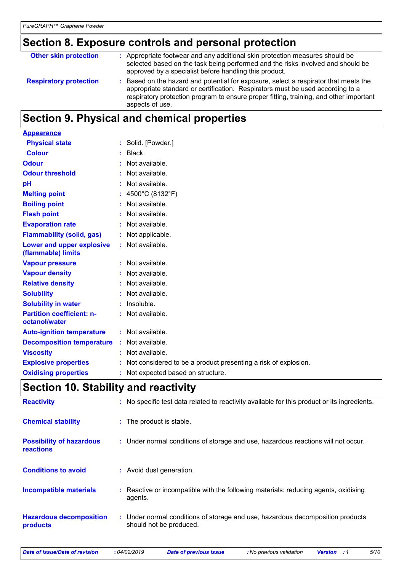## **Section 8. Exposure controls and personal protection**

| <b>Other skin protection</b>  | : Appropriate footwear and any additional skin protection measures should be<br>selected based on the task being performed and the risks involved and should be<br>approved by a specialist before handling this product.                                                         |
|-------------------------------|-----------------------------------------------------------------------------------------------------------------------------------------------------------------------------------------------------------------------------------------------------------------------------------|
| <b>Respiratory protection</b> | Based on the hazard and potential for exposure, select a respirator that meets the<br>appropriate standard or certification. Respirators must be used according to a<br>respiratory protection program to ensure proper fitting, training, and other important<br>aspects of use. |

## **Section 9. Physical and chemical properties**

| <b>Appearance</b>                                 |                                                                  |
|---------------------------------------------------|------------------------------------------------------------------|
| <b>Physical state</b>                             | : Solid. [Powder.]                                               |
| <b>Colour</b>                                     | $:$ Black.                                                       |
| <b>Odour</b>                                      | : Not available.                                                 |
| <b>Odour threshold</b>                            | $:$ Not available.                                               |
| pH                                                | : Not available.                                                 |
| <b>Melting point</b>                              | : $4500^{\circ}$ C (8132 $^{\circ}$ F)                           |
| <b>Boiling point</b>                              | $:$ Not available.                                               |
| <b>Flash point</b>                                | : Not available.                                                 |
| <b>Evaporation rate</b>                           | : Not available.                                                 |
| <b>Flammability (solid, gas)</b>                  | : Not applicable.                                                |
| Lower and upper explosive<br>(flammable) limits   | : Not available.                                                 |
| <b>Vapour pressure</b>                            | : Not available.                                                 |
| <b>Vapour density</b>                             | : Not available.                                                 |
| <b>Relative density</b>                           | : Not available.                                                 |
| <b>Solubility</b>                                 | : Not available.                                                 |
| <b>Solubility in water</b>                        | : Insoluble.                                                     |
| <b>Partition coefficient: n-</b><br>octanol/water | : Not available.                                                 |
| <b>Auto-ignition temperature</b>                  | : Not available.                                                 |
| <b>Decomposition temperature</b>                  | : Not available.                                                 |
| <b>Viscosity</b>                                  | : Not available.                                                 |
| <b>Explosive properties</b>                       | : Not considered to be a product presenting a risk of explosion. |
| <b>Oxidising properties</b>                       | : Not expected based on structure.                               |
|                                                   |                                                                  |

## **Section 10. Stability and reactivity**

| <b>Reactivity</b>                                   | : No specific test data related to reactivity available for this product or its ingredients.              |
|-----------------------------------------------------|-----------------------------------------------------------------------------------------------------------|
| <b>Chemical stability</b>                           | : The product is stable.                                                                                  |
| <b>Possibility of hazardous</b><br><b>reactions</b> | : Under normal conditions of storage and use, hazardous reactions will not occur.                         |
| <b>Conditions to avoid</b>                          | : Avoid dust generation.                                                                                  |
| <b>Incompatible materials</b>                       | Reactive or incompatible with the following materials: reducing agents, oxidising<br>agents.              |
| <b>Hazardous decomposition</b><br>products          | : Under normal conditions of storage and use, hazardous decomposition products<br>should not be produced. |

*Date of issue/Date of revision* **:** *04/02/2019 Date of previous issue : No previous validation Version : 1 5/10*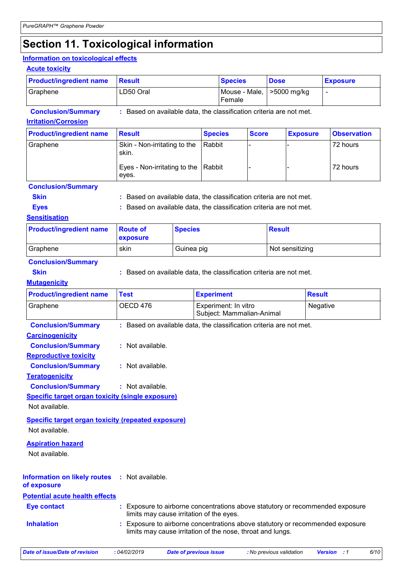## **Section 11. Toxicological information**

### **Information on toxicological effects**

### **Acute toxicity**

| <b>Product/ingredient name</b> | <b>∣Result</b> | <b>Species</b>                        | <b>Dose</b> | <b>Exposure</b> |
|--------------------------------|----------------|---------------------------------------|-------------|-----------------|
| Graphene                       | LD50 Oral      | Mouse - Male,   >5000 mg/kg<br>Female |             |                 |

**Conclusion/Summary :** Based on available data, the classification criteria are not met.

#### **Irritation/Corrosion**

| <b>Product/ingredient name</b> | Result                                       | <b>Species</b> | <b>Score</b> | <b>Exposure</b> | <b>Observation</b> |
|--------------------------------|----------------------------------------------|----------------|--------------|-----------------|--------------------|
| Graphene                       | Skin - Non-irritating to the<br>skin.        | Rabbit         |              |                 | 72 hours           |
|                                | Eyes - Non-irritating to the Rabbit<br>eyes. |                |              |                 | 72 hours           |

### **Conclusion/Summary**

| <b>Skin</b> | : Based on available data, the classification criteria are not met. |
|-------------|---------------------------------------------------------------------|
|             |                                                                     |

**Eyes Exercise 2.1 CONSTERN EXECUTE:** Based on available data, the classification criteria are not met.

### **Sensitisation**

| <b>Product/ingredient name</b> | <b>Route of</b><br><b>exposure</b> | <b>Species</b> | <b>Result</b>   |
|--------------------------------|------------------------------------|----------------|-----------------|
| Graphene                       | skin                               | Guinea pig     | Not sensitizing |

### **Conclusion/Summary**

**Skin Example 2018 :** Based on available data, the classification criteria are not met.

### **Mutagenicity**

| <b>Product/ingredient name</b>                          | <b>Test</b>        | <b>Experiment</b>                                                                                                                         | <b>Result</b> |
|---------------------------------------------------------|--------------------|-------------------------------------------------------------------------------------------------------------------------------------------|---------------|
| Graphene                                                | OECD 476           | Experiment: In vitro<br>Subject: Mammalian-Animal                                                                                         | Negative      |
| <b>Conclusion/Summary</b>                               |                    | : Based on available data, the classification criteria are not met.                                                                       |               |
| <b>Carcinogenicity</b>                                  |                    |                                                                                                                                           |               |
| <b>Conclusion/Summary</b>                               | : Not available.   |                                                                                                                                           |               |
| <b>Reproductive toxicity</b>                            |                    |                                                                                                                                           |               |
| <b>Conclusion/Summary</b>                               | $:$ Not available. |                                                                                                                                           |               |
| <b>Teratogenicity</b>                                   |                    |                                                                                                                                           |               |
| <b>Conclusion/Summary</b>                               | $:$ Not available. |                                                                                                                                           |               |
| <b>Specific target organ toxicity (single exposure)</b> |                    |                                                                                                                                           |               |
| Not available.                                          |                    |                                                                                                                                           |               |
| Specific target organ toxicity (repeated exposure)      |                    |                                                                                                                                           |               |
| Not available.                                          |                    |                                                                                                                                           |               |
| <b>Aspiration hazard</b>                                |                    |                                                                                                                                           |               |
| Not available.                                          |                    |                                                                                                                                           |               |
|                                                         |                    |                                                                                                                                           |               |
| <b>Information on likely routes</b><br>of exposure      | $:$ Not available. |                                                                                                                                           |               |
| <b>Potential acute health effects</b>                   |                    |                                                                                                                                           |               |
| <b>Eye contact</b>                                      |                    | Exposure to airborne concentrations above statutory or recommended exposure<br>limits may cause irritation of the eyes.                   |               |
| <b>Inhalation</b>                                       |                    | Exposure to airborne concentrations above statutory or recommended exposure<br>limits may cause irritation of the nose, throat and lungs. |               |
|                                                         |                    |                                                                                                                                           |               |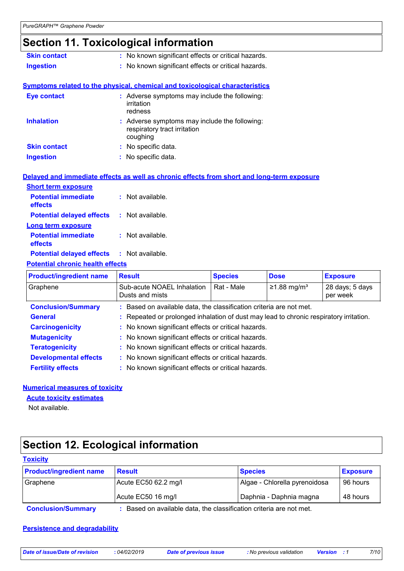## **Section 11. Toxicological information**

| <b>Skin contact</b> | : No known significant effects or critical hazards.                                 |
|---------------------|-------------------------------------------------------------------------------------|
| <b>Ingestion</b>    | : No known significant effects or critical hazards.                                 |
|                     |                                                                                     |
|                     | <b>Symptoms related to the physical, chemical and toxicological characteristics</b> |
| Eye contact         | : Adverse symptoms may include the following:<br>irritation<br>.                    |

|                     | regness                                                                                   |
|---------------------|-------------------------------------------------------------------------------------------|
| <b>Inhalation</b>   | : Adverse symptoms may include the following:<br>respiratory tract irritation<br>coughing |
| <b>Skin contact</b> | : No specific data.                                                                       |
| <b>Ingestion</b>    | : No specific data.                                                                       |

|                                                               | Delayed and immediate effects as well as chronic effects from short and long-term exposure |
|---------------------------------------------------------------|--------------------------------------------------------------------------------------------|
| <b>Short term exposure</b>                                    |                                                                                            |
| <b>Potential immediate : Not available.</b><br><b>effects</b> |                                                                                            |
| <b>Potential delayed effects : Not available.</b>             |                                                                                            |
| <b>Long term exposure</b>                                     |                                                                                            |
| <b>Potential immediate</b><br>effects                         | : Not available.                                                                           |

**Potential delayed effects :** Not available.

### **Potential chronic health effects**

| <b>Product/ingredient name</b> | <b>Result</b>                                       | <b>Species</b>                                                                         | <b>Dose</b>               | <b>Exposure</b>             |  |  |
|--------------------------------|-----------------------------------------------------|----------------------------------------------------------------------------------------|---------------------------|-----------------------------|--|--|
| Graphene                       | Sub-acute NOAEL Inhalation<br>Dusts and mists       | Rat - Male                                                                             | $≥1.88$ mg/m <sup>3</sup> | 28 days; 5 days<br>per week |  |  |
| <b>Conclusion/Summary</b>      |                                                     | : Based on available data, the classification criteria are not met.                    |                           |                             |  |  |
| <b>General</b>                 |                                                     | : Repeated or prolonged inhalation of dust may lead to chronic respiratory irritation. |                           |                             |  |  |
| <b>Carcinogenicity</b>         | : No known significant effects or critical hazards. |                                                                                        |                           |                             |  |  |
| <b>Mutagenicity</b>            |                                                     | : No known significant effects or critical hazards.                                    |                           |                             |  |  |
| <b>Teratogenicity</b>          | : No known significant effects or critical hazards. |                                                                                        |                           |                             |  |  |
| <b>Developmental effects</b>   | : No known significant effects or critical hazards. |                                                                                        |                           |                             |  |  |
| <b>Fertility effects</b>       |                                                     | : No known significant effects or critical hazards.                                    |                           |                             |  |  |

### **Numerical measures of toxicity**

**Acute toxicity estimates**

Not available.

## **Section 12. Ecological information**

### **Toxicity**

| <b>Product/ingredient name</b> | <b>Result</b>                                                   | <b>Species</b>                | <b>Exposure</b> |
|--------------------------------|-----------------------------------------------------------------|-------------------------------|-----------------|
| Graphene                       | Acute EC50 62.2 mg/l                                            | Algae - Chlorella pyrenoidosa | 96 hours        |
|                                | Acute EC50 16 mg/l                                              | Daphnia - Daphnia magna       | 48 hours        |
| Conclusion/Summany             | Rased on available data the classification criteria are not met |                               |                 |

**Conclusion/Summary :** Based on available data, the classification criteria are not met.

### **Persistence and degradability**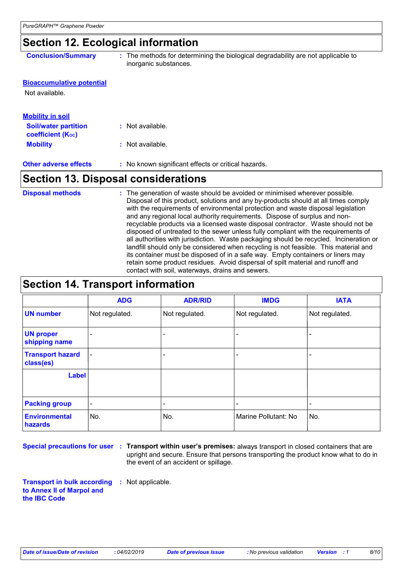## **Section 12. Ecological information**

|  |  | <b>Conclusion/Summary</b> |  |
|--|--|---------------------------|--|
|--|--|---------------------------|--|

**:** The methods for determining the biological degradability are not applicable to inorganic substances.

### **Bioaccumulative potential**

Not available.

### **Mobility :** Not available. **Other adverse effects :** No known significant effects or critical hazards. **Soil/water partition coefficient (Koc) :** Not available. **Mobility in soil**

### **Section 13. Disposal considerations**

The generation of waste should be avoided or minimised wherever possible. Disposal of this product, solutions and any by-products should at all times comply with the requirements of environmental protection and waste disposal legislation and any regional local authority requirements. Dispose of surplus and nonrecyclable products via a licensed waste disposal contractor. Waste should not be disposed of untreated to the sewer unless fully compliant with the requirements of all authorities with jurisdiction. Waste packaging should be recycled. Incineration or landfill should only be considered when recycling is not feasible. This material and its container must be disposed of in a safe way. Empty containers or liners may retain some product residues. Avoid dispersal of spilt material and runoff and contact with soil, waterways, drains and sewers. **Disposal methods :**

## **Section 14. Transport information**

|                                      | <b>ADG</b>                   | <b>ADR/RID</b>                     | <b>IMDG</b>    | <b>IATA</b>    |
|--------------------------------------|------------------------------|------------------------------------|----------------|----------------|
| <b>UN number</b>                     | Not regulated.               | Not regulated.                     | Not regulated. | Not regulated. |
| <b>UN proper</b><br>shipping name    | $\overline{\phantom{0}}$     |                                    |                |                |
| <b>Transport hazard</b><br>class(es) | $\blacksquare$               |                                    |                |                |
| <b>Label</b>                         |                              |                                    |                |                |
| <b>Packing group</b>                 | $\qquad \qquad \blacksquare$ |                                    |                |                |
| <b>Environmental</b><br>hazards      | No.                          | No.<br>Marine Pollutant: No<br>No. |                |                |

**Special precautions for user Transport within user's premises:** always transport in closed containers that are **:** upright and secure. Ensure that persons transporting the product know what to do in the event of an accident or spillage.

**Transport in bulk according :** Not applicable. **to Annex II of Marpol and the IBC Code**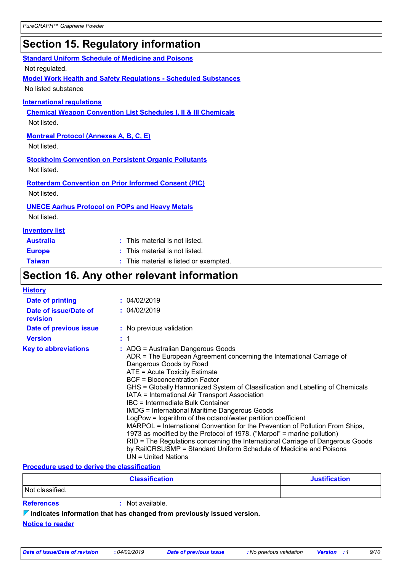## **Section 15. Regulatory information**

### **Standard Uniform Schedule of Medicine and Poisons**

Not regulated.

**Model Work Health and Safety Regulations - Scheduled Substances**

No listed substance

### **International regulations**

**Chemical Weapon Convention List Schedules I, II & III Chemicals** Not listed.

**Montreal Protocol (Annexes A, B, C, E)**

Not listed.

### **Stockholm Convention on Persistent Organic Pollutants**

Not listed.

**Rotterdam Convention on Prior Informed Consent (PIC)**

Not listed.

### **UNECE Aarhus Protocol on POPs and Heavy Metals**

Not listed.

### **Inventory list**

| <b>Australia</b> | : This material is not listed.         |
|------------------|----------------------------------------|
| <b>Europe</b>    | : This material is not listed.         |
| <b>Taiwan</b>    | : This material is listed or exempted. |

## **Section 16. Any other relevant information**

| <b>History</b>                    |                                                                                                                                                                                                                                                                                                                                                                                                                                                                                                                                                                                                                                                                                                                                                                                                                                                        |
|-----------------------------------|--------------------------------------------------------------------------------------------------------------------------------------------------------------------------------------------------------------------------------------------------------------------------------------------------------------------------------------------------------------------------------------------------------------------------------------------------------------------------------------------------------------------------------------------------------------------------------------------------------------------------------------------------------------------------------------------------------------------------------------------------------------------------------------------------------------------------------------------------------|
| Date of printing                  | : 04/02/2019                                                                                                                                                                                                                                                                                                                                                                                                                                                                                                                                                                                                                                                                                                                                                                                                                                           |
| Date of issue/Date of<br>revision | : 04/02/2019                                                                                                                                                                                                                                                                                                                                                                                                                                                                                                                                                                                                                                                                                                                                                                                                                                           |
| Date of previous issue            | : No previous validation                                                                                                                                                                                                                                                                                                                                                                                                                                                                                                                                                                                                                                                                                                                                                                                                                               |
| <b>Version</b>                    | : 1                                                                                                                                                                                                                                                                                                                                                                                                                                                                                                                                                                                                                                                                                                                                                                                                                                                    |
| <b>Key to abbreviations</b>       | $:$ ADG = Australian Dangerous Goods<br>ADR = The European Agreement concerning the International Carriage of<br>Dangerous Goods by Road<br>ATE = Acute Toxicity Estimate<br>BCF = Bioconcentration Factor<br>GHS = Globally Harmonized System of Classification and Labelling of Chemicals<br>IATA = International Air Transport Association<br>IBC = Intermediate Bulk Container<br><b>IMDG = International Maritime Dangerous Goods</b><br>LogPow = logarithm of the octanol/water partition coefficient<br>MARPOL = International Convention for the Prevention of Pollution From Ships,<br>1973 as modified by the Protocol of 1978. ("Marpol" = marine pollution)<br>RID = The Regulations concerning the International Carriage of Dangerous Goods<br>by RailCRSUSMP = Standard Uniform Schedule of Medicine and Poisons<br>UN = United Nations |

### **Procedure used to derive the classification**

|                   | <b>Classification</b> | <b>Justification</b> |
|-------------------|-----------------------|----------------------|
| Not classified.   |                       |                      |
| <b>References</b> | Not available.        |                      |

**Indicates information that has changed from previously issued version.**

**Notice to reader**